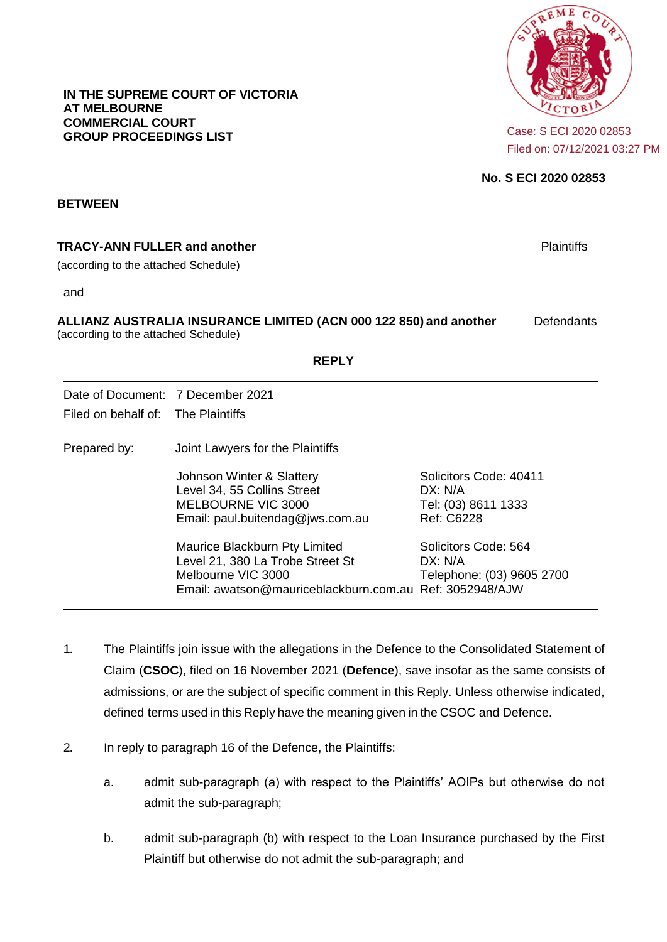

Case: S ECI 2020 02853 Filed on: 07/12/2021 03:27 PM

**No. S ECI 2020 02853**

**BETWEEN**

**AT MELBOURNE COMMERCIAL COURT**

# **TRACY-ANN FULLER and another** Plaintiffs

**IN THE SUPREME COURT OF VICTORIA**

(according to the attached Schedule)

**GROUP PROCEEDINGS LIST** 

and

# **ALLIANZ AUSTRALIA INSURANCE LIMITED (ACN 000 122 850) and another** Defendants

(according to the attached Schedule)

**REPLY**

Date of Document: 7 December 2021

Filed on behalf of: The Plaintiffs

Prepared by: Joint Lawyers for the Plaintiffs

Johnson Winter & Slattery Solicitors Code: 40411 Level 34, 55 Collins Street DX: N/A<br>
MELBOURNE VIC 3000 Tel: (03) 8611 1333 MELBOURNE VIC 3000 Email: paul.buitendag@jws.com.au Ref: C6228

Maurice Blackburn Pty Limited<br>
Level 21, 380 La Trobe Street St DX: N/A Level 21, 380 La Trobe Street St Melbourne VIC 3000 Telephone: (03) 9605 2700 Email: awatson@mauriceblackburn.com.au Ref: 3052948/AJW

- 1. The Plaintiffs join issue with the allegations in the Defence to the Consolidated Statement of Claim (**CSOC**), filed on 16 November 2021 (**Defence**), save insofar as the same consists of admissions, or are the subject of specific comment in this Reply. Unless otherwise indicated, defined terms used in this Reply have the meaning given in the CSOC and Defence.
- 2. In reply to paragraph 16 of the Defence, the Plaintiffs:
	- a. admit sub-paragraph (a) with respect to the Plaintiffs' AOIPs but otherwise do not admit the sub-paragraph;
	- b. admit sub-paragraph (b) with respect to the Loan Insurance purchased by the First Plaintiff but otherwise do not admit the sub-paragraph; and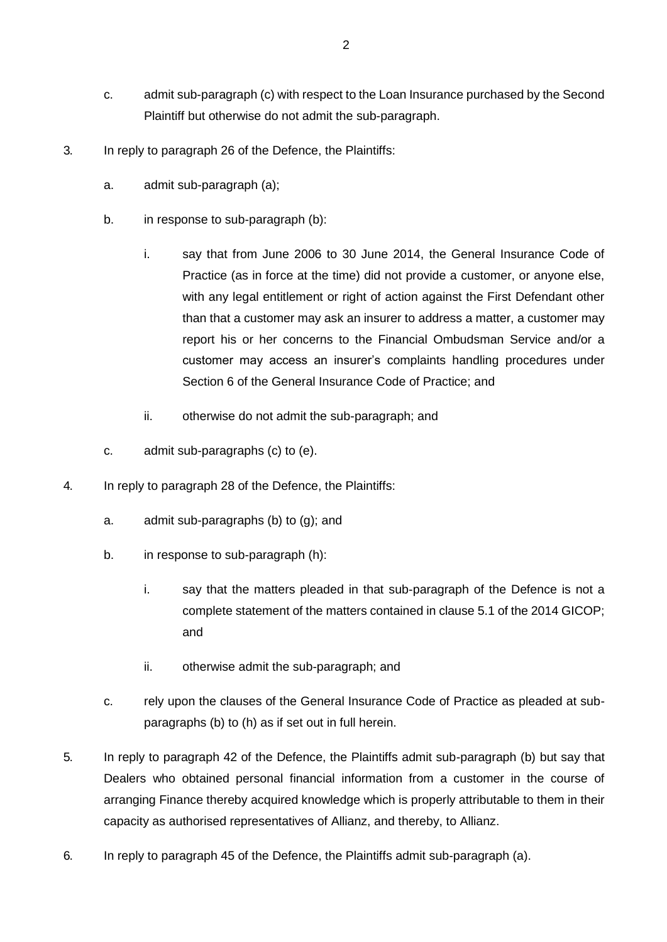- c. admit sub-paragraph (c) with respect to the Loan Insurance purchased by the Second Plaintiff but otherwise do not admit the sub-paragraph.
- 3. In reply to paragraph 26 of the Defence, the Plaintiffs:
	- a. admit sub-paragraph (a);
	- b. in response to sub-paragraph (b):
		- i. say that from June 2006 to 30 June 2014, the General Insurance Code of Practice (as in force at the time) did not provide a customer, or anyone else, with any legal entitlement or right of action against the First Defendant other than that a customer may ask an insurer to address a matter, a customer may report his or her concerns to the Financial Ombudsman Service and/or a customer may access an insurer's complaints handling procedures under Section 6 of the General Insurance Code of Practice; and
		- ii. otherwise do not admit the sub-paragraph; and
	- c. admit sub-paragraphs (c) to (e).
- 4. In reply to paragraph 28 of the Defence, the Plaintiffs:
	- a. admit sub-paragraphs (b) to (g); and
	- b. in response to sub-paragraph (h):
		- i. say that the matters pleaded in that sub-paragraph of the Defence is not a complete statement of the matters contained in clause 5.1 of the 2014 GICOP; and
		- ii. otherwise admit the sub-paragraph; and
	- c. rely upon the clauses of the General Insurance Code of Practice as pleaded at subparagraphs (b) to (h) as if set out in full herein.
- 5. In reply to paragraph 42 of the Defence, the Plaintiffs admit sub-paragraph (b) but say that Dealers who obtained personal financial information from a customer in the course of arranging Finance thereby acquired knowledge which is properly attributable to them in their capacity as authorised representatives of Allianz, and thereby, to Allianz.
- 6. In reply to paragraph 45 of the Defence, the Plaintiffs admit sub-paragraph (a).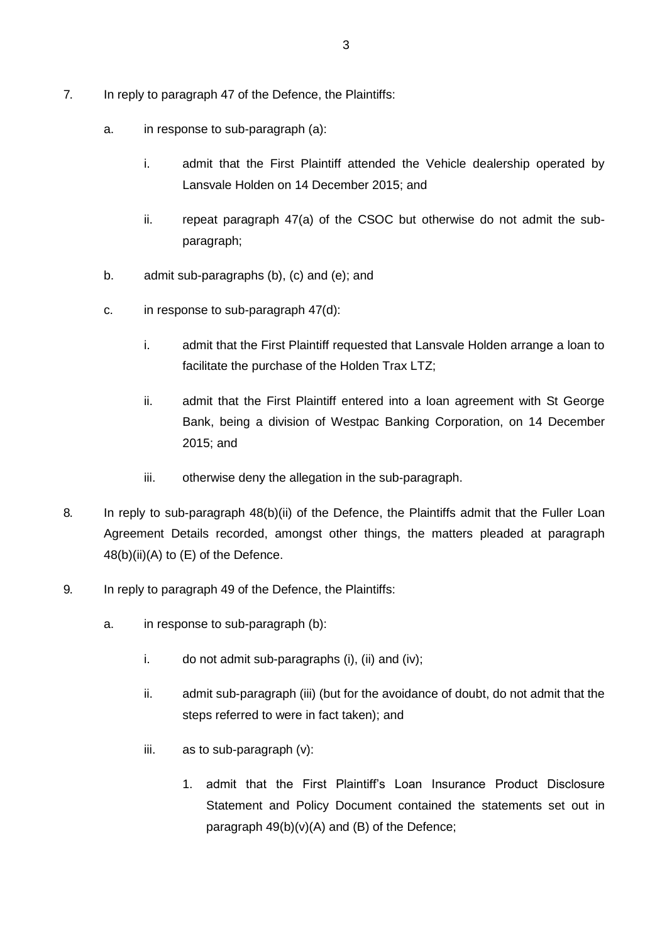- 7. In reply to paragraph 47 of the Defence, the Plaintiffs:
	- a. in response to sub-paragraph (a):
		- i. admit that the First Plaintiff attended the Vehicle dealership operated by Lansvale Holden on 14 December 2015; and
		- ii. repeat paragraph 47(a) of the CSOC but otherwise do not admit the subparagraph;
	- b. admit sub-paragraphs (b), (c) and (e); and
	- c. in response to sub-paragraph 47(d):
		- i. admit that the First Plaintiff requested that Lansvale Holden arrange a loan to facilitate the purchase of the Holden Trax LTZ;
		- ii. admit that the First Plaintiff entered into a loan agreement with St George Bank, being a division of Westpac Banking Corporation, on 14 December 2015; and
		- iii. otherwise deny the allegation in the sub-paragraph.
- 8. In reply to sub-paragraph 48(b)(ii) of the Defence, the Plaintiffs admit that the Fuller Loan Agreement Details recorded, amongst other things, the matters pleaded at paragraph  $48(b)(ii)(A)$  to  $(E)$  of the Defence.
- 9. In reply to paragraph 49 of the Defence, the Plaintiffs:
	- a. in response to sub-paragraph (b):
		- i. do not admit sub-paragraphs (i), (ii) and (iv);
		- ii. admit sub-paragraph (iii) (but for the avoidance of doubt, do not admit that the steps referred to were in fact taken); and
		- iii. as to sub-paragraph (v):
			- 1. admit that the First Plaintiff's Loan Insurance Product Disclosure Statement and Policy Document contained the statements set out in paragraph  $49(b)(v)(A)$  and  $(B)$  of the Defence;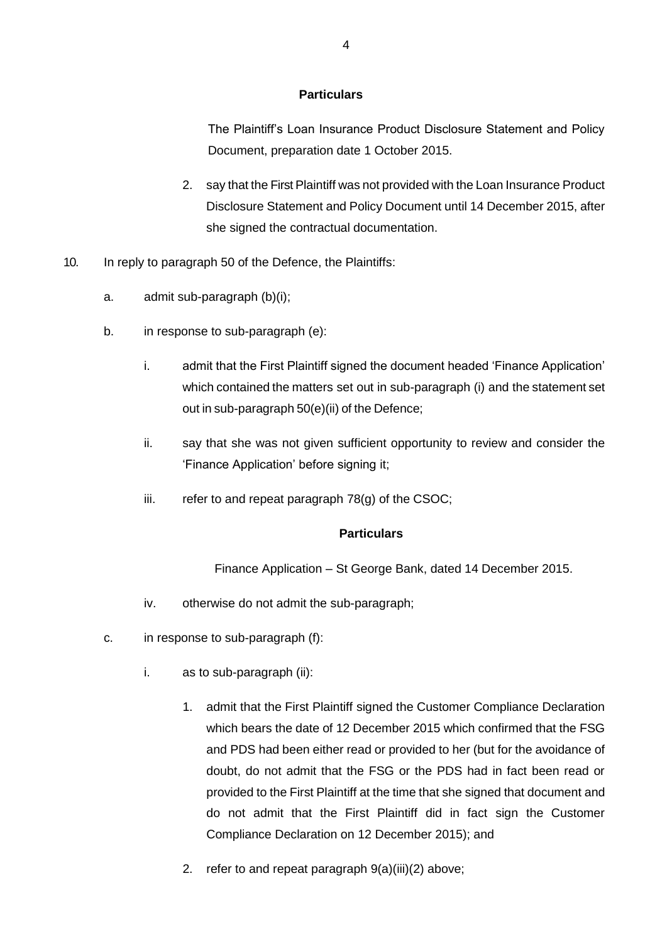### **Particulars**

The Plaintiff's Loan Insurance Product Disclosure Statement and Policy Document, preparation date 1 October 2015.

- 2. say that the First Plaintiff was not provided with the Loan Insurance Product Disclosure Statement and Policy Document until 14 December 2015, after she signed the contractual documentation.
- 10. In reply to paragraph 50 of the Defence, the Plaintiffs:
	- a. admit sub-paragraph (b)(i);
	- b. in response to sub-paragraph (e):
		- i. admit that the First Plaintiff signed the document headed 'Finance Application' which contained the matters set out in sub-paragraph (i) and the statement set out in sub-paragraph 50(e)(ii) of the Defence;
		- ii. say that she was not given sufficient opportunity to review and consider the 'Finance Application' before signing it;
		- iii. refer to and repeat paragraph  $78(q)$  of the CSOC;

# **Particulars**

Finance Application – St George Bank, dated 14 December 2015.

- iv. otherwise do not admit the sub-paragraph;
- c. in response to sub-paragraph (f):
	- i. as to sub-paragraph (ii):
		- 1. admit that the First Plaintiff signed the Customer Compliance Declaration which bears the date of 12 December 2015 which confirmed that the FSG and PDS had been either read or provided to her (but for the avoidance of doubt, do not admit that the FSG or the PDS had in fact been read or provided to the First Plaintiff at the time that she signed that document and do not admit that the First Plaintiff did in fact sign the Customer Compliance Declaration on 12 December 2015); and
		- 2. refer to and repeat paragraph 9(a)(iii)(2) above;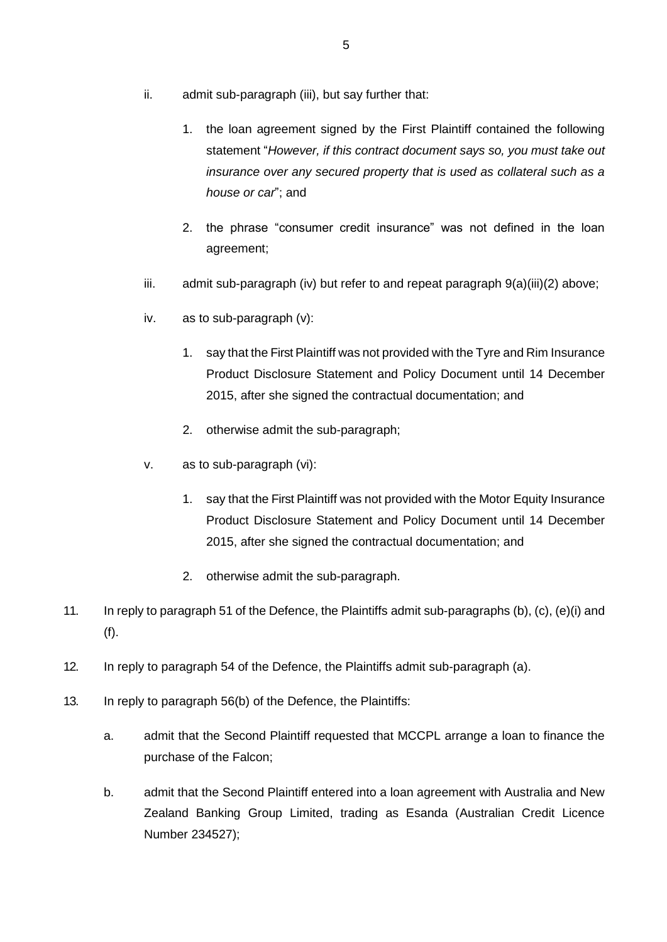- ii. admit sub-paragraph (iii), but say further that:
	- 1. the loan agreement signed by the First Plaintiff contained the following statement "*However, if this contract document says so, you must take out insurance over any secured property that is used as collateral such as a house or car*"; and
	- 2. the phrase "consumer credit insurance" was not defined in the loan agreement;
- iii. admit sub-paragraph (iv) but refer to and repeat paragraph 9(a)(iii)(2) above;
- iv. as to sub-paragraph (v):
	- 1. say that the First Plaintiff was not provided with the Tyre and Rim Insurance Product Disclosure Statement and Policy Document until 14 December 2015, after she signed the contractual documentation; and
	- 2. otherwise admit the sub-paragraph;
- v. as to sub-paragraph (vi):
	- 1. say that the First Plaintiff was not provided with the Motor Equity Insurance Product Disclosure Statement and Policy Document until 14 December 2015, after she signed the contractual documentation; and
	- 2. otherwise admit the sub-paragraph.
- 11. In reply to paragraph 51 of the Defence, the Plaintiffs admit sub-paragraphs (b), (c), (e)(i) and (f).
- 12. In reply to paragraph 54 of the Defence, the Plaintiffs admit sub-paragraph (a).
- 13. In reply to paragraph 56(b) of the Defence, the Plaintiffs:
	- a. admit that the Second Plaintiff requested that MCCPL arrange a loan to finance the purchase of the Falcon;
	- b. admit that the Second Plaintiff entered into a loan agreement with Australia and New Zealand Banking Group Limited, trading as Esanda (Australian Credit Licence Number 234527);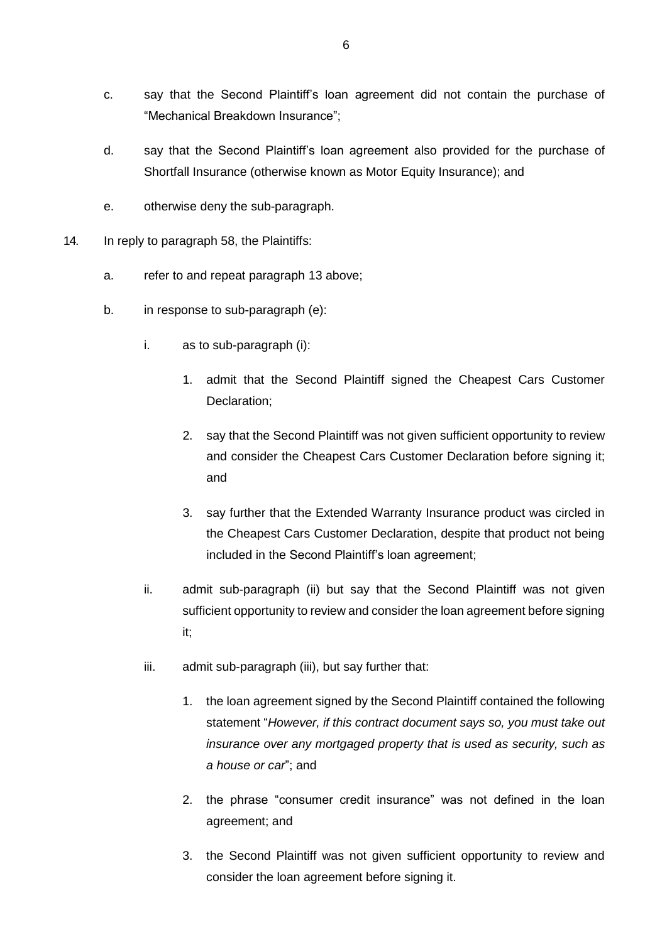- c. say that the Second Plaintiff's loan agreement did not contain the purchase of "Mechanical Breakdown Insurance";
- d. say that the Second Plaintiff's loan agreement also provided for the purchase of Shortfall Insurance (otherwise known as Motor Equity Insurance); and
- e. otherwise deny the sub-paragraph.
- 14. In reply to paragraph 58, the Plaintiffs:
	- a. refer to and repeat paragraph 13 above;
	- b. in response to sub-paragraph (e):
		- i. as to sub-paragraph (i):
			- 1. admit that the Second Plaintiff signed the Cheapest Cars Customer Declaration;
			- 2. say that the Second Plaintiff was not given sufficient opportunity to review and consider the Cheapest Cars Customer Declaration before signing it; and
			- 3. say further that the Extended Warranty Insurance product was circled in the Cheapest Cars Customer Declaration, despite that product not being included in the Second Plaintiff's loan agreement;
		- ii. admit sub-paragraph (ii) but say that the Second Plaintiff was not given sufficient opportunity to review and consider the loan agreement before signing it;
		- iii. admit sub-paragraph (iii), but say further that:
			- 1. the loan agreement signed by the Second Plaintiff contained the following statement "*However, if this contract document says so, you must take out insurance over any mortgaged property that is used as security, such as a house or car*"; and
			- 2. the phrase "consumer credit insurance" was not defined in the loan agreement; and
			- 3. the Second Plaintiff was not given sufficient opportunity to review and consider the loan agreement before signing it.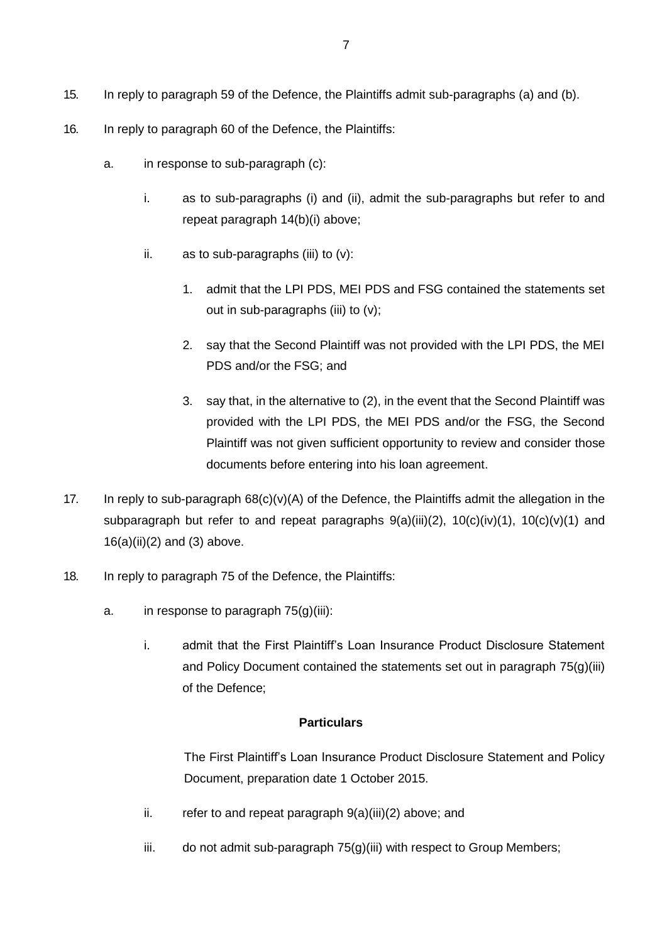- 16. In reply to paragraph 60 of the Defence, the Plaintiffs:
	- a. in response to sub-paragraph (c):
		- i. as to sub-paragraphs (i) and (ii), admit the sub-paragraphs but refer to and repeat paragraph 14(b)(i) above;
		- ii.  $\qquad$  as to sub-paragraphs (iii) to (v):
			- 1. admit that the LPI PDS, MEI PDS and FSG contained the statements set out in sub-paragraphs (iii) to (v);
			- 2. say that the Second Plaintiff was not provided with the LPI PDS, the MEI PDS and/or the FSG; and
			- 3. say that, in the alternative to (2), in the event that the Second Plaintiff was provided with the LPI PDS, the MEI PDS and/or the FSG, the Second Plaintiff was not given sufficient opportunity to review and consider those documents before entering into his loan agreement.
- 17. In reply to sub-paragraph  $68(c)(v)(A)$  of the Defence, the Plaintiffs admit the allegation in the subparagraph but refer to and repeat paragraphs  $9(a)(iii)(2)$ ,  $10(c)(iv)(1)$ ,  $10(c)(v)(1)$  and 16(a)(ii)(2) and (3) above.
- 18. In reply to paragraph 75 of the Defence, the Plaintiffs:
	- a. in response to paragraph  $75(g)(iii)$ :
		- i. admit that the First Plaintiff's Loan Insurance Product Disclosure Statement and Policy Document contained the statements set out in paragraph 75(g)(iii) of the Defence;

# **Particulars**

The First Plaintiff's Loan Insurance Product Disclosure Statement and Policy Document, preparation date 1 October 2015.

- ii. refer to and repeat paragraph  $9(a)(iii)(2)$  above; and
- iii. do not admit sub-paragraph  $75(g)(iii)$  with respect to Group Members;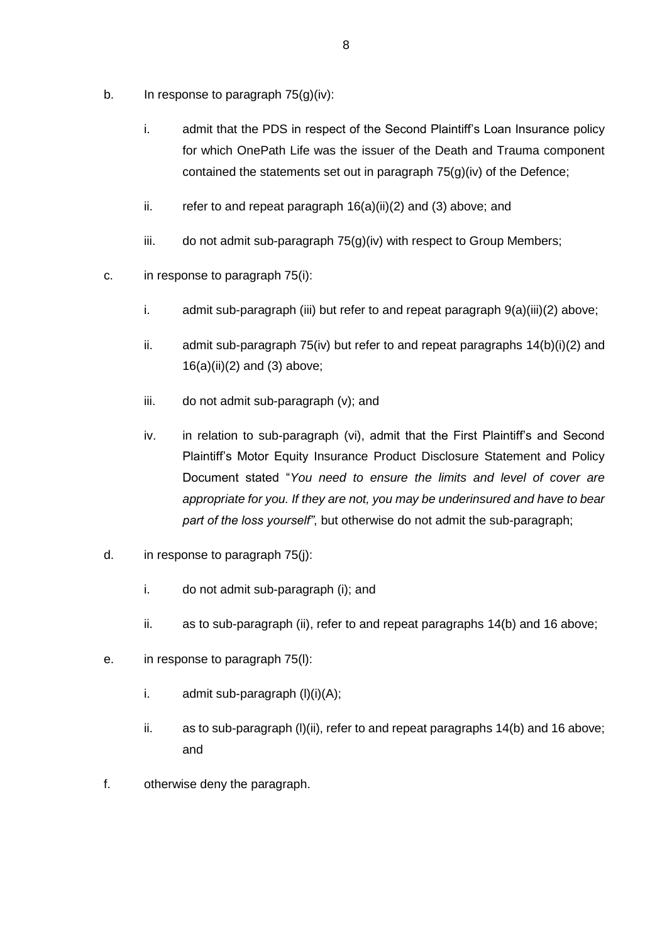- b. In response to paragraph 75(g)(iv):
	- i. admit that the PDS in respect of the Second Plaintiff's Loan Insurance policy for which OnePath Life was the issuer of the Death and Trauma component contained the statements set out in paragraph 75(g)(iv) of the Defence;
	- ii. refer to and repeat paragraph  $16(a)(ii)(2)$  and  $(3)$  above; and
	- iii. do not admit sub-paragraph  $75(q)(iv)$  with respect to Group Members;
- c. in response to paragraph 75(i):
	- i. admit sub-paragraph (iii) but refer to and repeat paragraph 9(a)(iii)(2) above;
	- ii. admit sub-paragraph 75(iv) but refer to and repeat paragraphs 14(b)(i)(2) and  $16(a)(ii)(2)$  and  $(3)$  above;
	- iii. do not admit sub-paragraph (v); and
	- iv. in relation to sub-paragraph (vi), admit that the First Plaintiff's and Second Plaintiff's Motor Equity Insurance Product Disclosure Statement and Policy Document stated "*You need to ensure the limits and level of cover are appropriate for you. If they are not, you may be underinsured and have to bear part of the loss yourself"*, but otherwise do not admit the sub-paragraph;
- d. in response to paragraph 75(j):
	- i. do not admit sub-paragraph (i); and
	- ii. as to sub-paragraph (ii), refer to and repeat paragraphs 14(b) and 16 above;
- e. in response to paragraph 75(l):
	- i. admit sub-paragraph (l)(i)(A);
	- ii. as to sub-paragraph (l)(ii), refer to and repeat paragraphs 14(b) and 16 above; and
- f. otherwise deny the paragraph.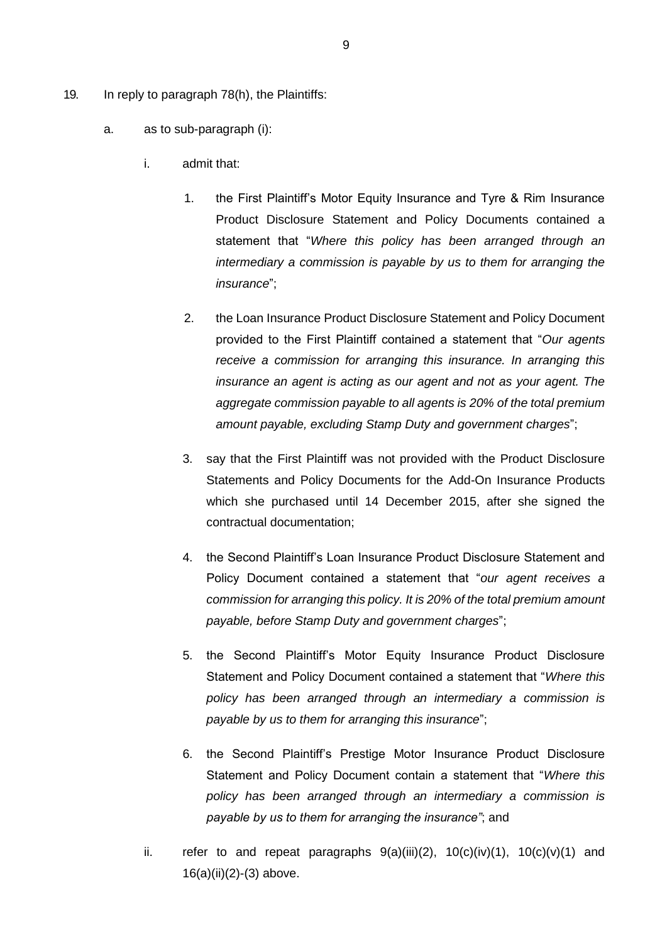- 19. In reply to paragraph 78(h), the Plaintiffs:
	- a. as to sub-paragraph (i):
		- i. admit that:
			- 1. the First Plaintiff's Motor Equity Insurance and Tyre & Rim Insurance Product Disclosure Statement and Policy Documents contained a statement that "*Where this policy has been arranged through an intermediary a commission is payable by us to them for arranging the insurance*";
			- 2. the Loan Insurance Product Disclosure Statement and Policy Document provided to the First Plaintiff contained a statement that "*Our agents receive a commission for arranging this insurance. In arranging this insurance an agent is acting as our agent and not as your agent. The aggregate commission payable to all agents is 20% of the total premium amount payable, excluding Stamp Duty and government charges*";
			- 3. say that the First Plaintiff was not provided with the Product Disclosure Statements and Policy Documents for the Add-On Insurance Products which she purchased until 14 December 2015, after she signed the contractual documentation;
			- 4. the Second Plaintiff's Loan Insurance Product Disclosure Statement and Policy Document contained a statement that "*our agent receives a commission for arranging this policy. It is 20% of the total premium amount payable, before Stamp Duty and government charges*";
			- 5. the Second Plaintiff's Motor Equity Insurance Product Disclosure Statement and Policy Document contained a statement that "*Where this policy has been arranged through an intermediary a commission is payable by us to them for arranging this insurance*";
			- 6. the Second Plaintiff's Prestige Motor Insurance Product Disclosure Statement and Policy Document contain a statement that "*Where this policy has been arranged through an intermediary a commission is payable by us to them for arranging the insurance"*; and
		- ii. refer to and repeat paragraphs  $9(a)(iii)(2)$ ,  $10(c)(iv)(1)$ ,  $10(c)(v)(1)$  and 16(a)(ii)(2)-(3) above.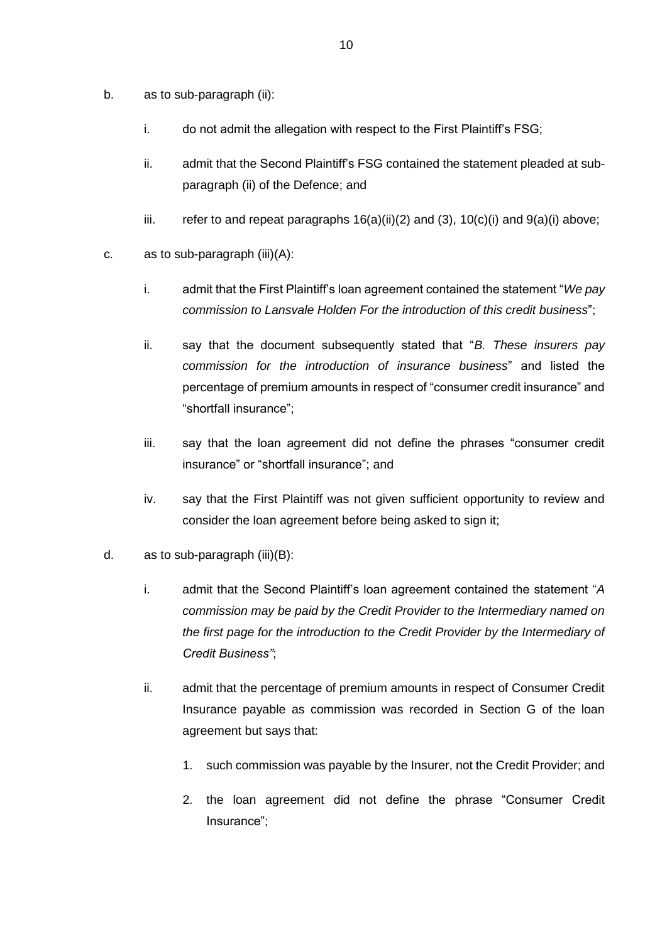- b. as to sub-paragraph (ii):
	- i. do not admit the allegation with respect to the First Plaintiff's FSG;
	- ii. admit that the Second Plaintiff's FSG contained the statement pleaded at subparagraph (ii) of the Defence; and
	- iii. refer to and repeat paragraphs  $16(a)(ii)(2)$  and  $(3)$ ,  $10(c)(i)$  and  $9(a)(i)$  above;
- c. as to sub-paragraph  $(iii)(A)$ :
	- i. admit that the First Plaintiff's loan agreement contained the statement "*We pay commission to Lansvale Holden For the introduction of this credit business*";
	- ii. say that the document subsequently stated that "*B. These insurers pay commission for the introduction of insurance business*" and listed the percentage of premium amounts in respect of "consumer credit insurance" and "shortfall insurance";
	- iii. say that the loan agreement did not define the phrases "consumer credit insurance" or "shortfall insurance"; and
	- iv. say that the First Plaintiff was not given sufficient opportunity to review and consider the loan agreement before being asked to sign it;
- d. as to sub-paragraph  $(iii)(B)$ :
	- i. admit that the Second Plaintiff's loan agreement contained the statement "*A commission may be paid by the Credit Provider to the Intermediary named on the first page for the introduction to the Credit Provider by the Intermediary of Credit Business"*;
	- ii. admit that the percentage of premium amounts in respect of Consumer Credit Insurance payable as commission was recorded in Section G of the loan agreement but says that:
		- 1. such commission was payable by the Insurer, not the Credit Provider; and
		- 2. the loan agreement did not define the phrase "Consumer Credit Insurance";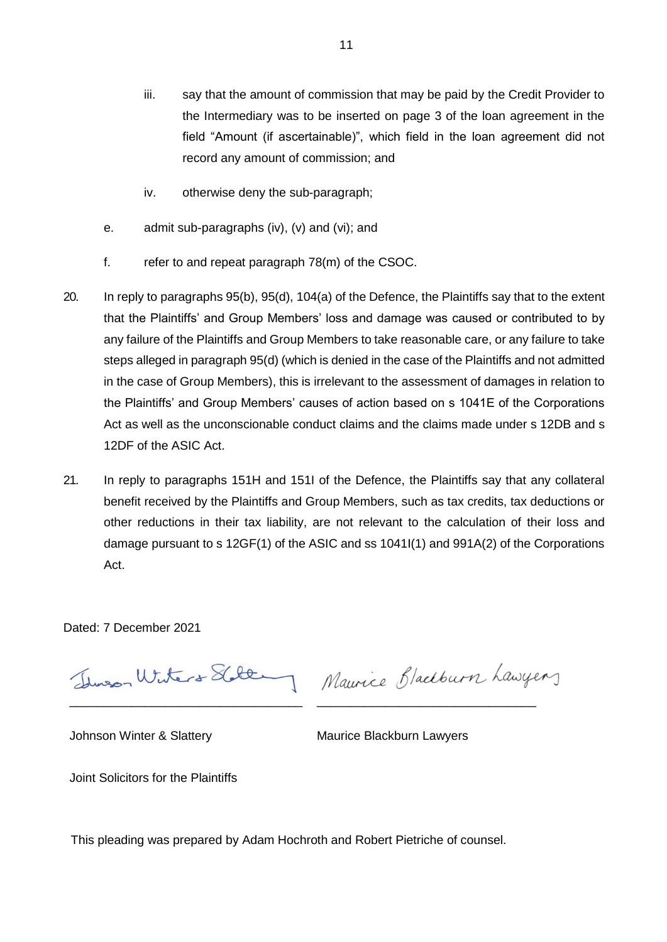- iii. say that the amount of commission that may be paid by the Credit Provider to the Intermediary was to be inserted on page 3 of the loan agreement in the field "Amount (if ascertainable)", which field in the loan agreement did not record any amount of commission; and
- iv. otherwise deny the sub-paragraph;
- e. admit sub-paragraphs (iv), (v) and (vi); and
- f. refer to and repeat paragraph 78(m) of the CSOC.
- 20. In reply to paragraphs 95(b), 95(d), 104(a) of the Defence, the Plaintiffs say that to the extent that the Plaintiffs' and Group Members' loss and damage was caused or contributed to by any failure of the Plaintiffs and Group Members to take reasonable care, or any failure to take steps alleged in paragraph 95(d) (which is denied in the case of the Plaintiffs and not admitted in the case of Group Members), this is irrelevant to the assessment of damages in relation to the Plaintiffs' and Group Members' causes of action based on s 1041E of the Corporations Act as well as the unconscionable conduct claims and the claims made under s 12DB and s 12DF of the ASIC Act.
- 21. In reply to paragraphs 151H and 151I of the Defence, the Plaintiffs say that any collateral benefit received by the Plaintiffs and Group Members, such as tax credits, tax deductions or other reductions in their tax liability, are not relevant to the calculation of their loss and damage pursuant to s 12GF(1) of the ASIC and ss 1041I(1) and 991A(2) of the Corporations Act.

Dated: 7 December 2021

June Witers Slatting Maurice Blackburn Lawyers \_\_\_\_\_\_\_\_\_\_\_\_\_\_\_\_\_\_\_\_\_\_\_\_\_\_\_\_\_\_\_\_\_\_ \_\_\_\_\_\_\_\_\_\_\_\_\_\_\_\_\_\_\_\_\_\_\_\_\_\_\_\_\_\_\_\_

Johnson Winter & Slattery Maurice Blackburn Lawyers

Joint Solicitors for the Plaintiffs

This pleading was prepared by Adam Hochroth and Robert Pietriche of counsel.